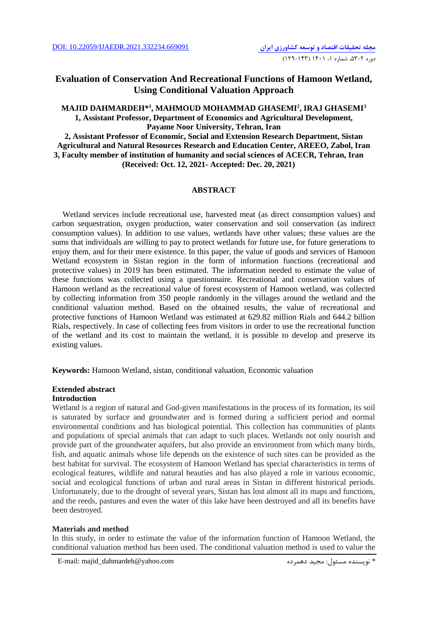## **Evaluation of Conservation And Recreational Functions of Hamoon Wetland, Using Conditional Valuation Approach**

### **MAJID DAHMARDEH\* 1 , MAHMOUD MOHAMMAD GHASEMI<sup>2</sup> , IRAJ GHASEMI<sup>3</sup> 1, Assistant Professor, Department of Economics and Agricultural Development, Payame Noor University, Tehran, Iran**

**2, Assistant Professor of Economic, Social and Extension Research Department, Sistan Agricultural and Natural Resources Research and Education Center, AREEO, Zabol, Iran 3, Faculty member of institution of humanity and social sciences of ACECR, Tehran, Iran (Received: Oct. 12, 2021- Accepted: Dec. 20, 2021)**

### **ABSTRACT**

Wetland services include recreational use, harvested meat (as direct consumption values) and carbon sequestration, oxygen production, water conservation and soil conservation (as indirect consumption values). In addition to use values, wetlands have other values; these values are the sums that individuals are willing to pay to protect wetlands for future use, for future generations to enjoy them, and for their mere existence. In this paper, the value of goods and services of Hamoon Wetland ecosystem in Sistan region in the form of information functions (recreational and protective values) in 2019 has been estimated. The information needed to estimate the value of these functions was collected using a questionnaire. Recreational and conservation values of Hamoon wetland as the recreational value of forest ecosystem of Hamoon wetland, was collected by collecting information from 350 people randomly in the villages around the wetland and the conditional valuation method. Based on the obtained results, the value of recreational and protective functions of Hamoon Wetland was estimated at 629.82 million Rials and 644.2 billion Rials, respectively. In case of collecting fees from visitors in order to use the recreational function of the wetland and its cost to maintain the wetland, it is possible to develop and preserve its existing values.

**Keywords:** Hamoon Wetland, sistan, conditional valuation, Economic valuation

## **Extended abstract**

## **Introduction**

Wetland is a region of natural and God-given manifestations in the process of its formation, its soil is saturated by surface and groundwater and is formed during a sufficient period and normal environmental conditions and has biological potential. This collection has communities of plants and populations of special animals that can adapt to such places. Wetlands not only nourish and provide part of the groundwater aquifers, but also provide an environment from which many birds, fish, and aquatic animals whose life depends on the existence of such sites can be provided as the best habitat for survival. The ecosystem of Hamoon Wetland has special characteristics in terms of ecological features, wildlife and natural beauties and has also played a role in various economic, social and ecological functions of urban and rural areas in Sistan in different historical periods. Unfortunately, due to the drought of several years, Sistan has lost almost all its maps and functions, and the reeds, pastures and even the water of this lake have been destroyed and all its benefits have been destroyed.

### **Materials and method**

In this study, in order to estimate the value of the information function of Hamoon Wetland, the conditional valuation method has been used. The conditional valuation method is used to value the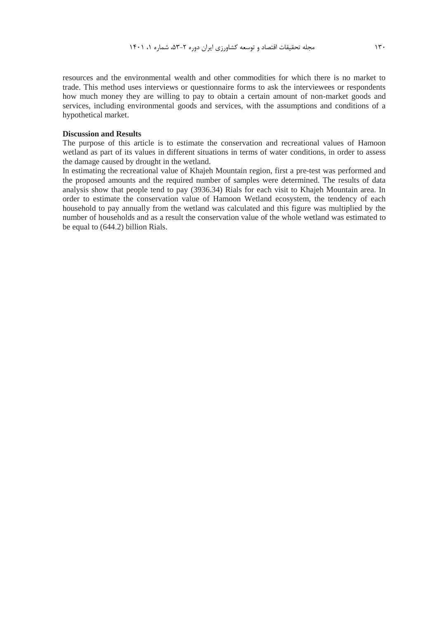resources and the environmental wealth and other commodities for which there is no market to trade. This method uses interviews or questionnaire forms to ask the interviewees or respondents how much money they are willing to pay to obtain a certain amount of non-market goods and services, including environmental goods and services, with the assumptions and conditions of a hypothetical market.

### **Discussion and Results**

The purpose of this article is to estimate the conservation and recreational values of Hamoon wetland as part of its values in different situations in terms of water conditions, in order to assess the damage caused by drought in the wetland.

In estimating the recreational value of Khajeh Mountain region, first a pre-test was performed and the proposed amounts and the required number of samples were determined. The results of data analysis show that people tend to pay (3936.34) Rials for each visit to Khajeh Mountain area. In order to estimate the conservation value of Hamoon Wetland ecosystem, the tendency of each household to pay annually from the wetland was calculated and this figure was multiplied by the number of households and as a result the conservation value of the whole wetland was estimated to be equal to (644.2) billion Rials.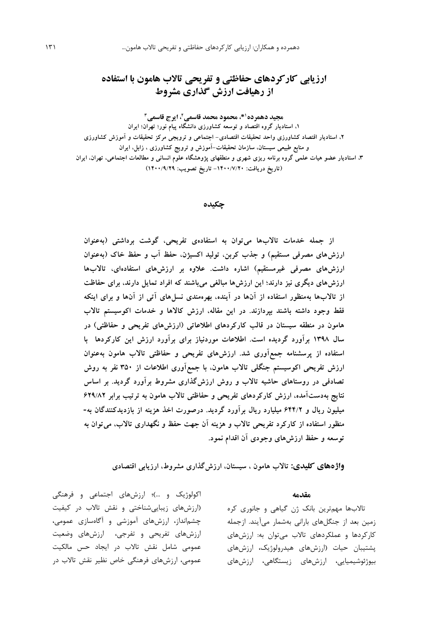# **ارزیابی کارکردهای حفاظتی و تفریحی تاالب هامون با استفاده از رهیافت ارزش گذاری مشروط**

**\*، محمود محمد قاسمی <sup>1</sup> مجید دهمرده ، ایرج قاسمی <sup>2</sup> 3**

**،1 استادیار گروه اقتصاد و توسعه کشاورزی دانشگاه پیام نور؛ تهران؛ ایران ،2 استادیار اقتصاد کشاورزی واحد تحقیقات اقتصادی- اجتماعی و ترویجی مرکز تحقیقات و آموزش کشاورزی و منابع طبیعی سیستان، سازمان تحقیقات-آموزش و ترویج کشاورزی ، زابل، ایران ،3 استادیار عضو هیات علمی گروه برنامه ریزی شهری و منطقهای پژوهشگاه علوم انسانی و مطالعات اجتماعی، تهران، ایران )تاریخ دریافت: -1400/7/20 تاریخ تصویب: 1400/9/29(**

**چکیده**

**از جمله خدمات تاالبها میتوان به استفادهی تفریحی، گوشت برداشتی )بهعنوان ارزشهای مصرفی مستقیم( و جذب کربن، تولید اکسیژن، حفظ آب و حفظ خاك )بهعنوان ارزشهای مصرفی غیرمستقیم( اشاره داشت. عالوه بر ارزشهای استفادهای، تاالبها ارزشهای دیگری نیز دارند؛ این ارزشها مبالغی میباشند که افراد تمایل دارند، برای حفاظت از تاالبها بهمنظور استفاده از آنها در آینده، بهرهمندی نسلهای آتی از آنها و برای اینکه فقط وجود داشته باشند بپردازند. در این مقاله، ارزش کاالها و خدمات اکوسیستم تاالب هامون در منطقه سیستان در قالب کارکردهای اطالعاتی )ارزشهای تفریحی و حفاظتی( در سال 1398 برآورد گردیده است. اطالعات موردنیاز برای برآورد ارزش این کارکردها با استفاده از پرسشنامه جمعآوری شد. ارزشهای تفریحی و حفاظتی تاالب هامون بهعنوان ارزش تفریحی اکوسیستم جنگلی تاالب هامون، با جمعآوری اطالعات از 350 نفر به روش تصادفی در روستاهای حاشیه تاالب و روش ارزشگذاری مشروط برآورد گردید. بر اساس نتایج بهدستآمده، ارزش کارکردهای تفریحی و حفاظتی تاالب هامون به ترتیب برابر 629/82 میلیون ریال و 644/2 میلیارد ریال برآورد گردید. درصورت اخذ هزینه از بازدیدکنندگان به- منظور استفاده از کارکرد تفریحی تاالب و هزینه آن جهت حفظ و نگهداری تاالب، میتوان به توسعه و حفظ ارزشهای وجودی آن اقدام نمود.**

**واژههای کلیدی: تاالب هامون ، سیستان، ارزشگذاری مشروط، ارزیابی اقتصادی**

**مقدمه**

تاالبها مهمترين بانک ژن گیاهی و جانوري کره زمین بعد از جنگلهاي بارانی بهشمار میآيند. ازجمله کارکردها و عملکردهاي تاالب میتوان به: ارزشهاي پشتیبان حیات )ارزشهاي هیدرولوژيک، ارزشهاي بیوژئوشیمیايی، ارزشهاي زيستگاهی، ارزشهاي

اکولوژيک و ...)؛ ارزشهای اجتماعی و فرهنگی )ارزشهاي زيبايیشناختی و نقش تاالب در کیفیت چشمانداز، ارزشهاي آموزشی و آگاهسازي عمومی، ارزشهاي تفريحی و تفرجی، ارزشهاي وضعیت عمومی شامل نقش تاالب در ايجاد حس مالکیت عمومی، ارزشهاي فرهنگی خاص نظیر نقش تاالب در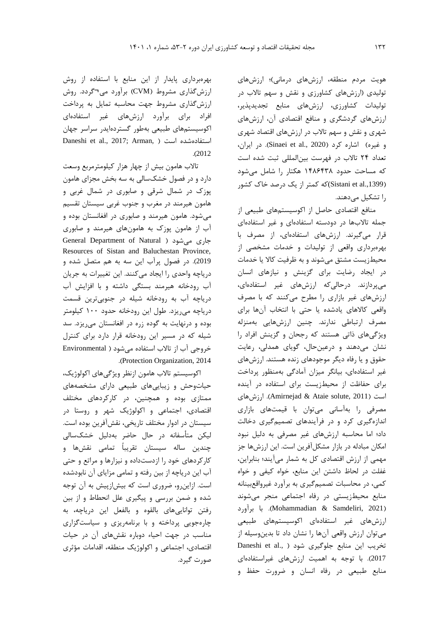هويت مردم منطقه، ارزشهاي درمانی(؛ ارزشهاي تولیدي )ارزشهاي کشاورزي و نقش و سهم تاالب در تولیدات کشاورزي، ارزشهاي منابع تجديدپذير، ارزشهاي گردشگري و منافع اقتصادي آن، ارزشهاي شهري و نقش و سهم تاالب در ارزشهاي اقتصاد شهري و غیره) اشاره کرد (Sinaei et al., 2020). در ايران، تعداد 24 تاالب در فهرست بینالمللی ثبت شده است که مساحت حدود 1486438 هکتار را شامل میشود ).,1399al et Sistani(که کمتر از يک درصد خاک کشور را تشکیل میدهند.

منافع اقتصادي حاصل از اکوسیستمهاي طبیعی از جمله تاالبها در دودسته استفادهاي و غیر استفادهاي قرار میگیرند. ارزشهاي استفادهاي، از مصرف با بهرهبرداري واقعی از تولیدات و خدمات مشخصی از محیطزيست مشتق میشوند و به ظرفیت کاال يا خدمات در ايجاد رضايت براي گزينش و نیازهاي انسان میپردازند. درحالیکه ارزشهاي غیر استفادهاي، ارزشهاي غیر بازاري را مطرح میکنند که با مصرف واقعی کاالهاي يادشده يا حتی با انتخاب آنها براي مصرف ارتباطی ندارند. چنین ارزشهايی بهمنزله ويژگیهاي ذاتی هستند که رجحان و گزينش افراد را نشان میدهند و درعینحال، گوياي همدلی، رعايت حقوق و يا رفاه ديگر موجودهاي زنده هستند. ارزشهاي غیر استفادهاي، بیانگر میزان آمادگی بهمنظور پرداخت براي حفاظت از محیطزيست براي استفاده در آينده ارزشهاي .(Amirnejad & Ataie solute, 2011( است مصرفی را بهآسانی میتوان با قیمتهاي بازاري اندازهگیري کرد و در فرآيندهاي تصمیمگیري دخالت داد؛ اما محاسبه ارزشهاي غیر مصرفی به دلیل نبود امکان مبادله در بازار مشکلآفرين است. اين ارزشها جز مهمی از ارزش اقتصادي کل به شمار میآيند؛ بنابراين، غفلت در لحاظ داشتن اين منابع، خواه کیفی و خواه کمی، در محاسبات تصمیمگیري به برآورد غیرواقعبینانه منابع محیطزيستی در رفاه اجتماعی منجر میشوند )2021 ,Samdeliri & Mohammadian). با برآورد ارزشهاي غیر استفادهاي اکوسیستمهاي طبیعی میتوان ارزش واقعی آنها را نشان داد تا بدينوسیله از تخريب اين منابع جلوگيري شود ( .Daneshi et al 2017(. با توجه به اهمیت ارزشهاي غیراستفادهاي منابع طبیعی در رفاه انسان و ضرورت حفظ و

بهرهبرداري پايدار از اين منابع با استفاده از روش ارزشگذاري مشروط )CVM )برآورد می¬گردد. روش ارزشگذاري مشروط جهت محاسبه تمايل به پرداخت افراد براي برآورد ارزشهاي غیر استفادهاي اکوسیستمهاي طبیعی بهطور گستردهايدر سراسر جهان Daneshi et al., 2017; Arman, ) استفادهشده است .)2012

تاالب هامون بیش از چهار هزار کیلومترمربع وسعت دارد و در فصول خشکسالی به سه بخش مجزاي هامون پوزک در شمال شرقی و صابوري در شمال غربی و هامون هیرمند در مغرب و جنوب غربی سیستان تقسیم میشود. هامون هیرمند و صابوري در افغانستان بوده و آب از هامون پوزک به هامونهاي هیرمند و صابوري General Department of Natural ( میشود جاري Resources of Sistan and Baluchestan Province, 2019(. در فصول پرآب اين سه به هم متصل شده و درياچه واحدي را ايجاد میکنند. اين تغییرات به جريان آب رودخانه هیرمند بستگی داشته و با افزايش آب درياچه آب به رودخانه شیله در جنوبیترين قسمت درياچه میريزد. طول اين رودخانه حدود 100 کیلومتر بوده و درنهايت به گوده زره در افغانستان میريزد. سد شیله که در مسیر اين رودخانه قرار دارد براي کنترل خروجی آب از تاالب استفاده میشود ) Environmental .)Protection Organization, 2014

اکوسیستم تاالب هامون ازنظر ويژگیهاي اکولوژيک، حیاتوحش و زيبايیهاي طبیعی داراي مشخصههاي ممتازي بوده و همچنین، در کارکردهاي مختلف اقتصادي، اجتماعی و اکولوژيک شهر و روستا در سیستان در ادوار مختلف تاريخی، نقشآفرين بوده است. لیکن متأسفانه در حال حاضر بهدلیل خشکسالی چندين ساله سیستان تقريباً تمامی نقشها و کارکردهاي خود را ازدستداده و نیزارها و مراتع و حتی آب اين درياچه از بین رفته و تمامی مزاياي آن نابودشده است. ازاينرو، ضروري است که بیشازپیش به آن توجه شده و ضمن بررسی و پیگیري علل انحطاط و از بین رفتن توانايیهاي بالقوه و بالفعل اين درياچه، به چارهجويی پرداخته و با برنامهريزي و سیاستگزاري مناسب در جهت احیاء دوباره نقشهاي آن در حیات اقتصادي، اجتماعی و اکولوژيک منطقه، اقدامات مؤثري صورت گیرد.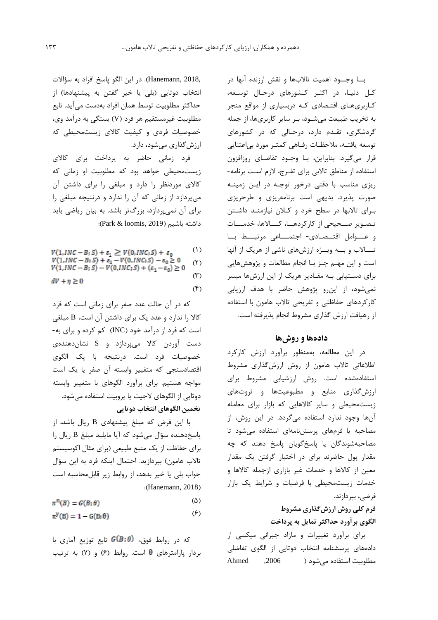بــا وجــود اهمیت تاالبها و نقش ارزنده آنها در کـل دنیـا، در اکثـر کـشورهاي درحـال توسـعه، کـاربريهـاي اقتـصادي کـه دربسیاري از مواقع منجر به تخريب طبیعت میشـود، بـر ساير کاربريها، از جمله گردشگري، تقـدم دارد، درحـالی که در کشورهاي توسعه يافتـه، مالحظـات رفـاهی کمتـر مورد بیاعتنايی قرار میگیرد. بنابراين، بـا وجـود تقاضـاي روزافزون استفاده از مناطق تاالبی براي تفـرج، الزم اسـت برنامه- ريزي مناسب با دقتی درخور توجـه در ايـن زمینـه صورت پذيرد. بديهی است برنامهريزي و طرحريزي بـراي تاالبها در سطح خرد و کـالن نیازمنـد داشـتن تـصـوير صــحیحی از کارکردهــا، کـــاالها، خدمـــات و عـــوامل اقتــصـادي‐ اجتمـــاعی مرتبـــط بــا تـــاالب و بــه ويــژه ارزشهاي ناشی از هريک از آنها است و اين مهـم جـز بـا انجام مطالعات و پژوهشهايی براي دسـتیابی بـه مقـادير هريک از اين ارزشها میسر نمیشود، از اينرو پژوهش حاضر با هدف ارزيابی کارکردهاي حفاظتی و تفريحی تاالب هامون با استفاده از رهیافت ارزش گذاري مشروط انجام پذيرفته است.

### **دادهها و روشها**

در اين مطالعه، بهمنظور برآورد ارزش کارکرد اطالعاتی تاالب هامون از روش ارزشگذاري مشروط استفادهشده است. روش ارزشیابی مشروط براي ارزشگذاري منابع و مطبوعیتها و ثروتهاي زيستمحیطی و ساير کاالهايی که بازار براي معامله آنها وجود ندارد استفاده میگردد. در اين روش، از مصاحبه يا فرمهاي پرسشنامهاي استفاده میشود تا مصاحبهشوندگان يا پاسخگويان پاسخ دهند که چه مقدار پول حاضرند براي در اختیار گرفتن يک مقدار معین از کاالها و خدمات غیر بازاري ازجمله کاالها و خدمات زيستمحیطی با فرضیات و شرايط يک بازار فرضی، بپردازند.

# **فرم کلی روش ارزشگذاري مشروط الگوي برآورد حداکثر تمايل به پرداخت**

براي برآورد تغییرات و مازاد جبرانی میکسی از دادههاي پرسشنامه انتخاب دوتايی از الگوي تفاضلی مطلوبیت استفاده میشود ) ,2006 Ahmed

2018, ,Hanemann). در اين الگو پاسخ افراد به سؤاالت انتخاب دوتايی (بلی يا خير گفتن به پيشنهادها) از حداکثر مطلوبیت توسط همان افراد بهدست میآيد. تابع مطلوبیت غیرمستقیم هر فرد )V )بستگی به درآمد وي، خصوصیات فردي و کیفیت کاالي زيستمحیطی که ارزشگذاري میشود، دارد.

فرد زمانی حاضر به پرداخت براي کاالي زيستمحیطی خواهد بود که مطلوبیت او زمانی که کاالي موردنظر را دارد و مبلغی را براي داشتن آن میپردازد از زمانی که آن را ندارد و درنتیجه مبلغی را براي آن نمیپردازد، بزرگتر باشد. به بیان رياضی بايد داشته باشیم )2019 ,loomis & Park):

| $V(1, INC - B; S) + \varepsilon_1 \geq V(0, INC; S) + \varepsilon_0$                                                                                 | (1)              |
|------------------------------------------------------------------------------------------------------------------------------------------------------|------------------|
| $V(1, INC - B; S) + \varepsilon_1 - V(0, INC; S) - \varepsilon_0 \geq 0$<br>$V(1, INC-B; S) - V(0, INC; S) + (\varepsilon_1 - \varepsilon_0) \geq 0$ | (Y)              |
| $dV + \eta \geq 0$                                                                                                                                   | $(\tilde{r})$    |
|                                                                                                                                                      | $(\mathfrak{F})$ |

که در آن حالت عدد صفر براي زمانی است که فرد کاال را ندارد و عدد يک براي داشتن آن است، B مبلغی است که فرد از درآمد خود )INC )کم کرده و براي به- دست آوردن کاال میپردازد و S نشاندهندهي خصوصیات فرد است. درنتیجه با يک الگوي اقتصادسنجی که متغییر وابسته آن صفر يا يک است مواجه هستیم. براي برآورد الگوهاي با متغییر وابسته دوتايی از الگوهاي الجیت يا پروبیت استفاده میشود. **تخمين الگوهاي انتخاب دوتايی**

با اين فرض که مبلغ پیشنهادي B ريال باشد، از پاسخدهنده سؤال میشود که آيا مايلید مبلغ B ريال را براي حفاظت از يک منبع طبيعي (براي مثال اکوسيستم تالاب هامون) بپردازيد. احتمال اينکه فرد به اين سؤال جواب بلی يا خیر بدهد، از روابط زير قابلمحاسبه است :(Hanemann, 2018)

- $(\Delta)$  $\pi^n(B) = G(B; \theta)$
- $(6)$  $\pi^y(B) = 1 - G(B; \theta)$

که در روابط فوق،  $G(B;\theta)$  تابع توزيع آماري با بردار پارامترهای  $\theta$  است. روابط (۶) و (۷) به ترتیب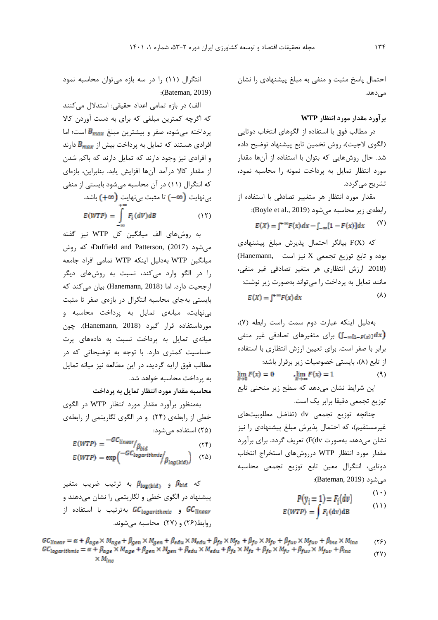احتمال پاسخ مثبت و منفی به مبلغ پیشنهادي را نشان میدهد.

### **برآورد مقدار مورد انتظار WTP**

در مطالب فوق با استفاده از الگوهاي انتخاب دوتايی (الگوي لاجیت)، روش تخمین تابع پیشنهاد توضیح داده شد. حال روشهايی که بتوان با استفاده از آنها مقدار مورد انتظار تمايل به پرداخت نمونه را محاسبه نمود، تشريح میگردد.

مقدار مورد انتظار هر متغییر تصادفی با استفاده از رابطهی زير محاسبه می شود (Boyle et al., 2019):  $(1)$  $E(X) = \int^{+\infty} F(x) dx - \int_{-\infty}^{x} [1 - F(x)] dx$ 

که )X)F بیانگر احتمال پذيرش مبلغ پیشنهادي بوده و تابع توزيع تجمعی X نیز است ,Hanemann( (.2018 ارزش انتظاري هر متغیر تصادفی غیر منفی، مانند تمايل به پرداخت را میتواند بهصورت زير نوشت:  $(\lambda)$  $E(X) = \int^{+\infty} F(x) dx$ 

بهدلیل اينکه عبارت دوم سمت راست رابطه )7(، برای متغیرهای تصادفی غیر منفی  $\mathbb{J}_{-\infty[1-F(x)]} dx$ برابر با صفر است. براي تعیین ارزش انتظاري با استفاده از تابع (٨)، بايستی خصوصيات زير برقرار باشد:  $\lim_{x \to 0} F(x) = 0$  ,  $\lim_{x \to \infty} F(x) = 1$  $(9)$ اين شرايط نشان میدهد که سطح زير منحنی تابع توزيع تجمعی دقیقا برابر يک است.

چنانچه توزيع تجمعی dv( تفاضل مطلوبیتهاي غیرمستقیم)، که احتمال پذیرش مبلغ پیشنهادی را نیز نشان میدهد، بهصورت dv(F )تعريف گردد. براي برآورد مقدار مورد انتظار WTP درروشهاي استخراج انتخاب دوتايی، انتگرال معین تابع توزيع تجمعی محاسبه میشود )2019 ,Bateman):

$$
P(y_i = 1) = F_i(dv)
$$

 $\Delta$ 

$$
E(WTP) = \int F_i(\text{dv}) \text{dB} \tag{11}
$$

انتگرال )11( را در سه بازه میتوان محاسبه نمود :(Bateman, 2019)

الف) در بازه تمامی اعداد حقیقی: استدلال میکنند که اگرچه کمترين مبلغی که براي به دست آوردن کاال پرداخته میشود، صفر و بیشترین مبلغ  $B_{max}$  است؛ اما افرادي هستند که تمايل به پرداخت بيش از B<sub>max</sub> دارند و افرادي نیز وجود دارند که تمايل دارند که باکم شدن از مقدار کاال درآمد آنها افزايش يابد. بنابراين، بازهاي که انتگرال )11( در آن محاسبه میشود بايستی از منفی بینهايت (<del>٥٥ -)</del> تا مثبت بینهايت (٣٥ -) باشد.

$$
E(WTP) = \int_{-\infty}^{\infty} F_i(dV)dB \tag{17}
$$

به روشهاي الف میانگین کل WTP نیز گفته میشود )2017) ,Patterson and Duffield؛ که روش میانگین WTP بهدلیل اينکه WTP تمامی افراد جامعه را در الگو وارد میکند، نسبت به روشهاي ديگر ارجحیت دارد. اما )2018 ,Hanemann )بیان میکند که بايستی بهجاي محاسبه انتگرال در بازهي صفر تا مثبت بینهايت، میانهي تمايل به پرداخت محاسبه و مورداستفاده قرار گیرد )2018 ,Hanemann). چون میانهي تمايل به پرداخت نسبت به دادههاي پرت حساسیت کمتري دارد. با توجه به توضیحاتی که در مطالب فوق ارايه گرديد، در اين مطالعه نیز میانه تمايل به پرداخت محاسبه خواهد شد.

**محاسبه مقدار مورد انتظار تمايل به پرداخت**

بهمنظور برآورد مقدار مورد انتظار WTP در الگوي خطی از رابطهي )24( و در الگوي لگاريتمی از رابطهي )25( استفاده میشود:

$$
E(WTP) = \frac{-GC_{linear}}{\beta_{bid}} \tag{75}
$$

$$
E(WTP) = \exp\left(\frac{-GC_{logarithmic}}{\beta_{log(bid)}}\right) \quad (\Upsilon \Delta)
$$

که  $\beta_{\log (bid)}$  به ترتیب ضریب متغیر  $\beta_{bid}$ پیشنهاد در الگوي خطی و لگاريتمی را نشان میدهند و و  $Gc_{logarithmic}$  بهترتیب با استفاده از  $\epsilon$ روابط)26( و )27( محاسبه میشوند.

 $GC_{linear} = \alpha + \beta_{age} \times M_{age} + \beta_{gen} \times M_{gen} + \beta_{edu} \times M_{edu} + \beta_{fs} \times M_{fs} + \beta_{fv} \times M_{fv} + \beta_{fuv} \times M_{fuv} + \beta_{inc} \times M_{inc}$  $(15)$  $GC_{logarithmic} = \alpha + \beta_{age} \times M_{age} + \beta_{gen} \times M_{gen} + \beta_{edu} \times M_{edu} + \beta_{fs} \times M_{fs} + \beta_{fv} \times M_{fv} + \beta_{fuv} \times M_{fuv} + \beta_{inc}$  $(YY)$  $\times M_{inc}$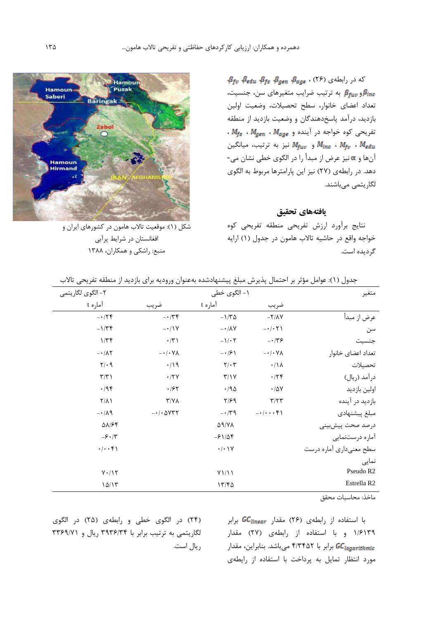$\beta_{fv}$   $\beta_{edu}$   $\beta_{fs}$   $\beta_{gen}$   $\beta_{age}$  ، (۲۶) که در رابطهی و  $\beta_{\rm fuv}$  به ترتیب ضرایب متغیرهای سن، جنسیت،  $\beta_{\rm inc}$ تعداد اعضاي خانوار، سطح تحصیالت، وضعیت اولین بازديد، درآمد پاسخدهندگان و وضعیت بازديد از منطقه  $M_{fs}$  ،  $M_{gen}$  ،  $M_{age}$  ،  $N_{age}$  ،  $N_{gas}$ و  $M_{\rm{fuv}}$  نیز به ترتیب، میانگین  $M_{\rm{fuv}}$  ،  $M_{\rm{fuv}}$ آنها و نیز عرض از مبدأ را در الگوي خطی نشان می- دهد. در رابطهي )27( نیز اين پارامترها مربوط به الگوي لگاريتمی میباشند.

**یافتههای تحقیق**

نتايج برآورد ارزش تفريحی منطقه تفريحی کوه خواجه واقع در حاشیه تاالب هامون در جدول )1( ارايه گرديده است.



شکل )1(: موقعیت تاالب هامون در کشورهاي ايران و افغانستان در شرايط پرآبی منبع: راشکی و همکاران، 1388

| متغير                   |                               | ۱- الگوی خطی                      |                            | ۲- الگوی لگاریتمی            |
|-------------------------|-------------------------------|-----------------------------------|----------------------------|------------------------------|
|                         | ضريب                          | آما <sub>د</sub> ه t              | ضريب                       | آما <sub>د</sub> ه t         |
| عرض از مبدأ             | $-Y/ \Lambda V$               | $-1/\tau \Delta$                  | $-174$                     | $-179$                       |
| سن                      | $- \cdot / \cdot \cdot \cdot$ | $- \cdot / \Lambda V$             | $-11V$                     | $-1/\tau$                    |
| جنسيت                   | $-179$                        | $-1/\cdot 7$                      | $\cdot/\tau$               | 1/Tf                         |
| تعداد اعضاى خانوار      | $-\cdot/\cdot$ Y $\wedge$     | $- \cdot 19$                      | $-\cdot/\cdot$ Y $\wedge$  | $- \cdot / \Lambda \Upsilon$ |
| تحصيلات                 | $\cdot/\Lambda$               | $\mathbf{Y}/\cdot\mathbf{Y}$      | $\cdot/\gamma$             | $Y/\cdot$ 9                  |
| درآمد (ريال)            | .779                          | Y/Y                               | $\cdot$ /۲ $\vee$          | $\Upsilon/\Upsilon$          |
| اولين بازديد            | $\cdot$ /5 $\vee$             | $\cdot$ /90                       | $\cdot$ /۶۲                | $\cdot$ /94                  |
| بازدید در آینده         | $\mathbf{r}/\mathbf{r}$       | ۲/۶۹                              | $\Upsilon/\Upsilon\Lambda$ | $\Upsilon/\Lambda$           |
| مبلغ پيشنهادى           | $-1$                          | $-179$                            | $-1.00477$                 | $-\cdot/\lambda$ 9           |
| درصد صحت پیشبینی        |                               | $\Delta$ 9/YA                     |                            | $\Delta\lambda$ /۶۴          |
| آماره درستنمایی         |                               | $-91/09$                          |                            | $-\xi \cdot / \tau$          |
| سطح معنىدارى أماره درست |                               | $\cdot/\cdot$ ) Y                 |                            | $\cdot/\cdot\cdot$ ۴۱        |
| نمایی                   |                               |                                   |                            |                              |
| Pseudo R <sub>2</sub>   |                               | $Y \setminus \setminus \setminus$ |                            | $Y \cdot / Y$                |
| Estrella R2             |                               | 1776                              |                            | 10/17                        |

جدول )1(: عوامل مؤثر بر احتمال پذيرش مبلغ پیشنهادشده بهعنوان وروديه براي بازديد از منطقه تفريحی تاالب

ماخذ: محاسبات محقق

با استفاده از رابطهی (۲۶) مقدار GC<sub>linear</sub> برابر 1/6139 و با استفاده از رابطهي )27( مقدار برابر با 4/3452 میباشد. بنابراين، مقدار مورد انتظار تمايل به پرداخت با استفاده از رايطهي

)24( در الگوي خطی و رابطهي )25( در الگوي لگاريتمی به ترتیب برابر با 3936/34 ريال و 3369/71 ريال است.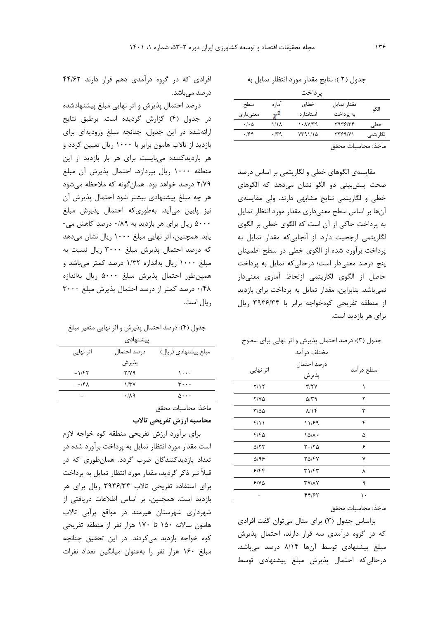جدول )2 (: نتايج مقدار مورد انتظار تمايل به

|                            |        | یر داخت    |                    |           |
|----------------------------|--------|------------|--------------------|-----------|
| سطح                        | آما, ہ | خطاي       | مقدار تمايل        | الگو      |
| معنے دار ی                 |        | استاندا, د | به پر داخت         |           |
| $\cdot$ / $\cdot$ $\Delta$ | ۱٬۱۸   | ۱۰۸۷/۳۹    | ۳۹۳۶/۳۴            | خطی       |
| ۱۶۴                        | ۰/۳۹   | ۱/۲۹۱/۱۵   | ۳۳۶۹/۷۱            | لگار يتمى |
|                            |        |            | ماخذ: محاسبات محقق |           |

مقايسهي الگوهاي خطی و لگاريتمی بر اساس درصد صحت پیشبینی دو الگو نشان میدهد که الگوهاي خطی و لگاريتمی نتايج مشابهی دارند. ولی مقايسهي آنها بر اساس سطح معنیداري مقدار مورد انتظار تمايل به پرداخت حاکی از آن است که الگوي خطی بر الگوي لگاريتمی ارجحیت دارد. از آنجايیکه مقدار تمايل به پرداخت برآورد شده از الگوي خطی در سطح اطمینان پنج درصد معنیدار است؛ درحالیکه تمايل به پرداخت حاصل از الگوي لگاريتمی ازلحاظ آماري معنیدار نمیباشد. بنابراين، مقدار تمايل به پرداخت براي بازديد از منطقه تفريحی کوهخواجه برابر با 3936/34 ريال براي هر بازديد است.

| جدول (۳): درصد احتمال پذیرش و اثر نهایی برای سطوح |                 |  |
|---------------------------------------------------|-----------------|--|
|                                                   | $1 - 1$ $1 - 1$ |  |

|              | محتلف درامد          |           |
|--------------|----------------------|-----------|
| اثر نهایی    | درصد احتمال<br>پذيرش | سطح درآمد |
| Y/Y          | T/TV                 | ١         |
| $Y/Y\Delta$  | 5/۳۹                 | ٢         |
| ۳/۵۵         | $\lambda/\lambda f$  | ٣         |
| ۴/۱۱         | 11/۶9                | ۴         |
| ۴۱۴۵         | $1\Delta/\lambda$ .  | ۵         |
| $\Delta$ /٢٢ | $Y \cdot / Y \Delta$ | ۶         |
| $\Delta$ /98 | 20/47                | ٧         |
| ۶۱۴۴         | ۳۱/۴۳                | ٨         |
| 5100         | <b>TY/AY</b>         | ٩         |
|              | 44/62                | ۱۰        |
|              |                      |           |

ماخذ: محاسبات محقق

براساس جدول )3( براي مثال میتوان گفت افرادي که در گروه درآمدي سه قرار دارند، احتمال پذيرش مبلغ پیشنهادي توسط آنها 8/14 درصد میباشد. درحالیکه احتمال پذيرش مبلغ پیشنهادي توسط

افرادي که در گروه درآمدي دهم قرار دارند 44/62 درصد میباشد.

درصد احتمال پذيرش و اثر نهايی مبلغ پیشنهادشده در جدول )4( گزارش گرديده است. برطبق نتايج ارائهشده در اين جدول، چنانچه مبلغ وروديهاي براي بازديد از تاالب هامون برابر با 1000 ريال تعیین گردد و هر بازديدکننده میبايست براي هر بار بازديد از اين منطقه 1000 ريال بپردازد، احتمال پذيرش آن مبلغ 2/79 درصد خواهد بود. همانگونه که مالحظه میشود هر چه مبلغ پیشنهادي بیشتر شود احتمال پذيرش آن نیز پايین میآيد. بهطوريکه احتمال پذيرش مبلغ 5000 ريال براي هر بازديد به 0/89 درصد کاهش می- يابد. همچنین، اثر نهايی مبلغ 1000 ريال نشان میدهد که درصد احتمال پذيرش مبلغ 3000 ريال نسبت به مبلغ 1000 ريال بهاندازه 1/42 درصد کمتر میباشد و همینطور احتمال پذيرش مبلغ 5000 ريال بهاندازه 0/48 درصد کمتر از درصد احتمال پذيرش مبلغ 3000 ريال است.

جدول )4(: درصد احتمال پذيرش و اثر نهايی متغیر مبلغ

| ييشنهادى                 |             |                             |  |  |  |
|--------------------------|-------------|-----------------------------|--|--|--|
| اثر نھایے                | درصد احتمال | مبلغ پیشنهادی (ریال)        |  |  |  |
|                          | يذير ش      |                             |  |  |  |
| $-1/57$                  | Y/Y9        | ۱۰۰۰                        |  |  |  |
| $- \cdot$ /۴۸            | 1/TV        | ۳۰۰۰                        |  |  |  |
| $\overline{\phantom{a}}$ | .119        | $\Lambda \cdot \cdot \cdot$ |  |  |  |
|                          |             |                             |  |  |  |

ماخذ: محاسبات محقق

**محاسبه ارزش تفريحی تاالب** 

براي برآورد ارزش تفريحی منطقه کوه خواجه الزم است مقدار مورد انتظار تمايل به پرداخت برآورد شده در تعداد بازديدکنندگان ضرب گردد. همانطوري که در قبالً نیز ذکر گرديد، مقدار مورد انتظار تمايل به پرداخت براي استفاده تفريحی تاالب 3936/34 ريال براي هر بازديد است. همچنین، بر اساس اطالعات دريافتی از شهرداري شهرستان هیرمند در مواقع پرآبی تاالب هامون ساالنه 150 تا 170 هزار نفر از منطقه تفريحی کوه خواجه بازديد میکردند. در اين تحقیق چنانچه مبلغ 160 هزار نفر را بهعنوان میانگین تعداد نفرات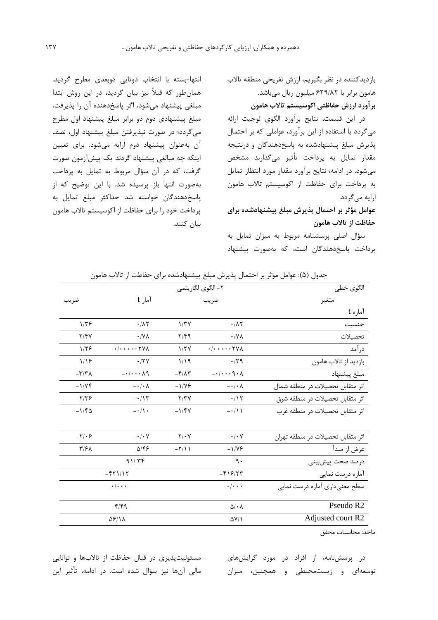بازديدکننده در نظر بگیريم، ارزش تفريحی منطقه تاالب هامون برابر با 629/82 میلیون ريال میباشد. **برآورد ارزش حفاظتی اکوسيستم تاالب هامون**

در اين قسمت، نتايج برآورد الگوي لوجیت ارائه میگردد با استفاده از اين برآورد، عواملی که بر احتمال پذيرش مبلغ پیشنهادشده به پاسخدهندگان و درنتیجه مقدار تمايل به پرداخت تأثیر میگذارند مشخص میشود. در ادامه، نتايج برآورد مقدار مورد انتظار تمايل به پرداخت براي حفاظت از اکوسیستم تاالب هامون ارايه میگردد.

**عوامل مؤثر بر احتمال پذيرش مبلغ پيشنهادشده براي حفاظت از تاالب هامون**

سؤال اصلی پرسشنامه مربوط به میزان تمايل به پرداخت پاسخدهندگان است، که بهصورت پیشنهاد

انتها-بسته با انتخاب دوتايی دوبعدي مطرح گرديد. همانطور که قبالً نیز بیان گرديد، در اين روش ابتدا مبلغی پیشنهاد میشود، اگر پاسخدهنده آن را پذيرفت، مبلغ پیشنهادي دوم دو برابر مبلغ پیشنهاد اول مطرح میگردد؛ در صورت نپذيرفتن مبلغ پیشنهاد اول، نصف آن بهعنوان پیشنهاد دوم ارايه میشود. براي تعیین اينکه چه مبالغی پیشنهاد گردند يک پیشآزمون صورت گرفت، که در آن سؤال مربوط به تمايل به پرداخت بهصورت انتها باز پرسیده شد. با اين توضیح که از پاسخدهندگان خواسته شد حداکثر مبلغ تمايل به پرداخت خود را براي حفاظت از اکوسیستم تاالب هامون بیان کنند.

| الگوي خطي                         |                                           | ٢- الگوى لگاريتمى                  |                                               |                                |
|-----------------------------------|-------------------------------------------|------------------------------------|-----------------------------------------------|--------------------------------|
| متغير                             | ضريب                                      |                                    | آمار t                                        | ضريب                           |
| آماره t                           |                                           |                                    |                                               |                                |
| جنسيت                             | $\cdot$ / $\wedge$ $\vee$                 | 1/TV                               | $\cdot/\lambda\tau$                           | $1/\tau$ ۶                     |
| تحصيلات                           | $\cdot$ / Y $\wedge$                      | $Y/\mathfrak{f}\mathfrak{q}$       | $\cdot$ /Y $\wedge$                           | Y/Y                            |
| در آمد                            | $\cdot/\cdot\cdot\cdot\cdot\tau$ YA       | 1/7V                               | $\cdot/\cdot\cdot\cdot\cdot\tau\gamma\lambda$ | 1/59                           |
| بازديد از تالاب هامون             | $\cdot$ /۲۹                               | 1/19                               | $\cdot$ /٢٧                                   | 1/19                           |
| مبلغ پيشنهاد                      | $-\cdot/\cdot\cdot\cdot$ 9 $\cdot \wedge$ | $-\mathbf{F}/\mathbf{A}\mathbf{r}$ | $-\cdot/\cdot\cdot\cdot\wedge q$              | $-\tau/\tau\lambda$            |
| اثر متقابل تحصيلات در منطقه شمال  | $-\cdot/\cdot \lambda$                    | $-1/195$                           | $-\cdot/\cdot \wedge$                         | $-1/VP$                        |
| اثر متقابل تحصيلات در منطقه شرق   | $-115$                                    | $-\nabla/\nabla V$                 | $-\cdot/\gamma$                               | $-\frac{1}{\sqrt{2}}$          |
| اثر متقابل تحصیلات در منطقه غرب   | $-\cdot/11$                               | $-1/\gamma V$                      | $-\cdot/$ \ $\cdot$                           | $-1/\mathcal{F}\Delta$         |
| اثر متقابل تحصیلات در منطقه تهران | $- \cdot / \cdot V$                       | $-\nabla/\cdot V$                  | $-\cdot/\cdot V$                              | $-\7$ .۶                       |
| عرض از مبدأ                       | $-1/19$                                   | $-\frac{1}{\pi}$                   | $\Delta/\xi$                                  | $\mathbf{Y}/\mathbf{Y}\Lambda$ |
| درصد صحت پیشبینی                  | ٩.                                        |                                    | 91/79                                         |                                |
| آماره درست نمایی                  | $-519/77$                                 |                                    | $-551/17$                                     |                                |
| سطح معنىداري أماره درست نمايي     | $\cdot$ / $\cdot$ $\cdot$                 |                                    | $\cdot$ / $\cdot$ $\cdot$                     |                                |
| Pseudo R2                         | $\Delta/\cdot \Lambda$                    |                                    | $f/f$ ۹                                       |                                |
| Adjusted court R2                 | $\Delta V/\lambda$                        |                                    | <b>ASI1A</b>                                  |                                |

جدول )5(: عوامل مؤثر بر احتمال پذيرش مبلغ پیشنهادشده براي حفاظت از تاالب هامون

ماخذ: محاسبات محقق

در پرسشنامه، از افراد در مورد گرايشهاي توسعهاي و زيستمحیطی و همچنین، میزان

مسئولیتپذیری در قبال حفاظت از تالابها و توانايی مالی آنها نیز سؤال شده است. در ادامه، تأثیر اين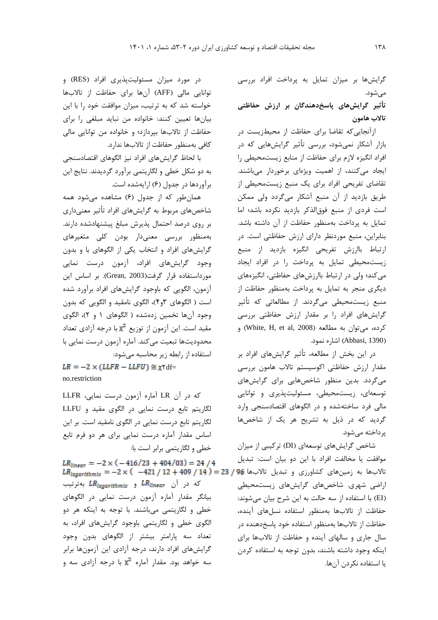گرايشها بر میزان تمايل به پرداخت افراد بررسی میشود.

**تأثير گرايشهاي پاسخدهندگان بر ارزش حفاظتی تاالب هامون**

ازآنجايیکه تقاضا براي حفاظت از محیطزيست در بازار آشکار نمیشود، بررسی تأثیر گرايشهايی که در افراد انگیزه الزم براي حفاظت از منابع زيستمحیطی را ايجاد میکنند، از اهمیت ويژهاي برخوردار میباشند. تقاضاي تفريحی افراد براي يک منبع زيستمحیطی از طريق بازديد از آن منبع آشکار میگردد ولی ممکن است فردي از منبع فوقالذکر بازديد نکرده باشد؛ اما تمايل به پرداخت بهمنظور حفاظت از آن داشته باشد. بنابراين، منبع موردنظر داراي ارزش حفاظتی است. در ارتباط باارزش تفريحی انگیزه بازديد از منبع زيستمحیطی تمايل به پرداخت را در افراد ايجاد میکند؛ ولی در ارتباط باارزشهاي حفاظتی، انگیزههاي ديگري منجر به تمايل به پرداخت بهمنظور حفاظت از منبع زيستمحیطی میگردند. از مطالعاتی که تأثیر گرايشهاي افراد را بر مقدار ارزش حفاظتی بررسی کرده، میتوان به مطالعه (White, H, et al, 2008) و (Abbasi, 1390) اشاره نمود.

در اين بخش از مطالعه، تأثیر گرايشهاي افراد بر مقدار ارزش حفاظتی اکوسیستم تاالب هامون بررسی میگردد. بدين منظور شاخصهايی براي گرايشهاي توسعهاي، زيستمحیطی، مسئولیتپذيري و توانايی مالی فرد ساختهشده و در الگوهاي اقتصادسنجی وارد گرديد که در ذيل به تشريح هر يک از شاخصها پرداخته میشود.

شاخص گرايشهاي توسعهاي )DI )ترکیبی از میزان موافقت يا مخالفت افراد با اين دو بیان است: تبديل اراضی شهري. شاخصهاي گرايشهاي زيستمحیطی )EI )با استفاده از سه حالت به اين شرح بیان میشوند: حفاظت از تاالبها بهمنظور استفاده نسلهاي آينده، حفاظت از تاالبها بهمنظور استفاده خود پاسخدهنده در سال جاري و سالهاي آينده و حفاظت از تاالبها براي اينکه وجود داشته باشند، بدون توجه به استفاده کردن يا استفاده نکردن آنها.

در مورد میزان مسئولیتپذيري افراد )RES )و توانايی مالی )AFF )آنها براي حفاظت از تاالبها خواسته شد که به ترتیب، میزان موافقت خود را با اين بیانها تعیین کنند: خانواده من نبايد مبلغی را براي حفاظت از تاالبها بپردازد؛ و خانواده من توانايی مالی کافی بهمنظور حفاظت از تاالبها ندارد.

با لحاظ گرايشهاي افراد نیز الگوهاي اقتصادسنجی به دو شکل خطی و لگاريتمی برآورد گرديدند. نتايج اين برآوردها در جدول (۶) ارايهشده است.

همانطور که از جدول )6( مشاهده میشود همه شاخصهاي مربوط به گرايشهاي افراد تأثیر معنیداري بر روي درصد احتمال پذيرش مبلغ پیشنهادشده دارند. بهمنظور بررسی معنیدار بودن کلی متغیرهاي گرايشهاي افراد و انتخاب يکی از الگوهاي با و بدون وجود گرايشهاي افراد، آزمون درست نمايی مورداستفاده قرار گرفت)2003 ,Grean). بر اساس اين آزمون، الگويی که باوجود گرايشهاي افراد برآورد شده است ) الگوهاي 3و4(، الگوي نامقید و الگويی که بدون وجود آنها تخمین زدهشده ( الگوهاي ۱ و ۲)، الگوي مقید است. این آزمون از توزیع  $\mathbf{x}^2$  با درجه آزادی تعداد محدوديتها تبعیت میکند. آماره آزمون درست نمايی با استفاده از رابطه زير محاسبه میشود:

 $LR = -2 \times (LLFR - LLFU) \approx \chi \text{Yd}f$ no.restriction

که در آن LR آماره آزمون درست نمايی، LLFR لگاريتم تابع درست نمايی در الگوي مقید و LLFU لگاريتم تابع درست نمايی در الگوي نامقید است. بر اين اساس مقدار آماره درست نمايی براي هر دو فرم تابع خطی و لگاريتمی برابر است با:

 $LR_{linear} = -2 \times (-416/23 + 404/03) = 24/4$  $LR_{local}$  تالابها به زمینهای کشاورزی و تبدیل تالابها 96 / 23 = (14 / 409 + 12 / 421 - ) $\times 10^{-10}$ که در آن *LR<sub>linear</sub> و LR<sub>logarithmic</sub>* بهترتیب بیانگر مقدار آماره آزمون درست نمايی در الگوهاي خطی و لگاريتمی میباشند. با توجه به اينکه هر دو الگوي خطی و لگاريتمی باوجود گرايشهاي افراد، به تعداد سه پارامتر بیشتر از الگوهاي بدون وجود گرايشهاي افراد دارند، درجه آزادي اين آزمونها برابر سه خواهد بود. مقدار آماره  $\mathbf{x}^2$  با درجه آزادي سه و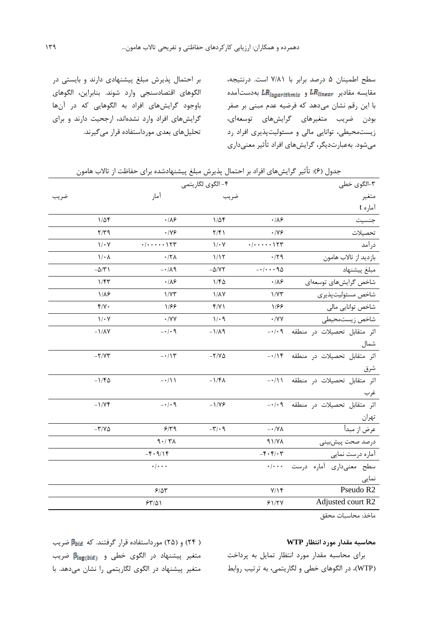سطح اطمینان 5 درصد برابر با 7/81 است. درنتیجه، مقايسه مقادير  $\mathit{LR}_{\mathit{logarithmic}}$  و  $\mathit{LR}_{\mathit{logarithmic}}$  بهدستآمده با اين رقم نشان میدهد که فرضیه عدم مبنی بر صفر بودن ضريب متغیرهاي گرايشهاي توسعهاي، زيستمحیطی، توانايی مالی و مسئولیتپذيري افراد رد میشود. بهعبارتديگر، گرايشهاي افراد تأثیر معنیداري

بر احتمال پذيرش مبلغ پیشنهادي دارند و بايستی در الگوهاي اقتصادسنجی وارد شوند. بنابراين، الگوهاي باوجود گرايشهاي افراد به الگوهايی که در آنها گرايشهاي افراد وارد نشدهاند، ارجحیت دارند و براي تحلیلهاي بعدي مورداستفاده قرار میگیرند.

| ۳-الگوی خطی                       |                                              | ۴- الگوی لگاریتمی               |                                                       |                        |
|-----------------------------------|----------------------------------------------|---------------------------------|-------------------------------------------------------|------------------------|
| متغير                             |                                              | ضريب                            | آمار                                                  | ضريب                   |
| آماره t                           |                                              |                                 |                                                       |                        |
| جنسيت                             | $\cdot/\lambda$ ۶                            | $1/\Delta f$                    | $\cdot/\lambda$ ۶                                     | $1/\Delta f$           |
| تحصيلات                           | $\cdot$ /YF                                  | $\frac{1}{\pi}$                 | $\cdot$ /Y&                                           | $Y/Y$ ۹                |
| در آمد                            | $\cdot/\cdot\cdot\cdot\cdot\setminus\tau$ ۳  | $1/\cdot 7$                     | $\cdot/\cdot\cdot\cdot\cdot\setminus\uparrow\uparrow$ | $1/\cdot 7$            |
| بازديد از تالاب هامون             | $\cdot$ /۲۹                                  | 1/15                            | $\cdot$ /۲۸                                           | $1/\cdot \Lambda$      |
| مبلغ پيشنهاد                      | $-1$ as                                      | $-\Delta/ \Upsilon \Upsilon$    | $-\cdot/\lambda$ ٩                                    | $-\Delta/\Upsilon$ )   |
| شاخص گرایشهای توسعهای             | $\cdot/\lambda$ ۶                            | 1/FQ                            | $\cdot/\lambda$ ۶                                     | 1/fT                   |
| شاخص مسئوليت پذيرى                | 1/YY                                         | $1/\lambda Y$                   | 1/YY                                                  | $1/\lambda$ ۶          |
| شاخص توانايي مالي                 | 1/88                                         | f/Y                             | 1/55                                                  | $f/\gamma$ .           |
| شاخص زيستمحيطى                    | $\cdot$ /YY                                  | $1/\cdot$ 9                     | $\boldsymbol{\cdot}$ /<br>YV                          | $1/\cdot Y$            |
| اثر متقابل تحصيلات در منطقه ٠/٠٩- |                                              | $-1/\lambda$ 9                  | $- \cdot / \cdot$ 9                                   | $-1/\lambda V$         |
| شمال                              |                                              |                                 |                                                       |                        |
| اثر متقابل تحصیلات در منطقه ١٢/٠- |                                              | $-\nabla/V\Delta$               | $-115$                                                | $-Y/VT$                |
| شرق                               |                                              |                                 |                                                       |                        |
| اثر متقابل تحصیلات در منطقه ۰/۱۱- |                                              | $-1/\mathfrak{f}\Lambda$        | $-\cdot/11$                                           | $-1/\mathcal{F}\Delta$ |
| غرب                               |                                              |                                 |                                                       |                        |
| اثر متقابل تحصيلات در منطقه ٠/٠٩- |                                              | $-1/195$                        | $- \cdot / \cdot$ 9                                   | $-1/VI$                |
| تهران                             |                                              |                                 |                                                       |                        |
| عرض از مبدأ                       | $ \cdot$ /YA                                 | $-\mathbf{r}' \cdot \mathbf{q}$ | 9/79                                                  | $-\tau/\nu\Delta$      |
| درصد صحت پیشبینی                  | 91/Y                                         |                                 | 9.77                                                  |                        |
| آماره درست نمایی                  | $-\mathbf{F}\cdot\mathbf{F}/\cdot\mathbf{r}$ |                                 | $-\mathfrak{F}\cdot \mathfrak{q}/\mathfrak{f}$        |                        |
| سطح معنىدارى أماره درست           | $\cdot/\cdot\cdot$                           |                                 | $\cdot/\cdot\cdot\cdot$                               |                        |
| نمایی                             |                                              |                                 |                                                       |                        |
| Pseudo R2                         | Y/Y                                          |                                 | 9/8r                                                  |                        |
| Adjusted court R2                 | 51/7V                                        |                                 | 54/01                                                 |                        |
|                                   |                                              |                                 |                                                       |                        |

جدول (۶): تأثیر گرایشهای افراد بر احتمال پذیرش مبلغ پیشنهادشده برای حفاظت از تالاب هامون

ماخذ: محاسبات محقق

### **محاسبه مقدار مورد انتظار WTP**

براي محاسبه مقدار مورد انتظار تمايل به پرداخت )WTP)، در الگوهاي خطی و لگاريتمی، به ترتیب روابط

) 24( و )25( مورداستفاده قرار گرفتند. که ضريب متغیر پیشنهاد در الگوي خطی و ضريب متغیر پیشنهاد در الگوي لگاريتمی را نشان میدهد. با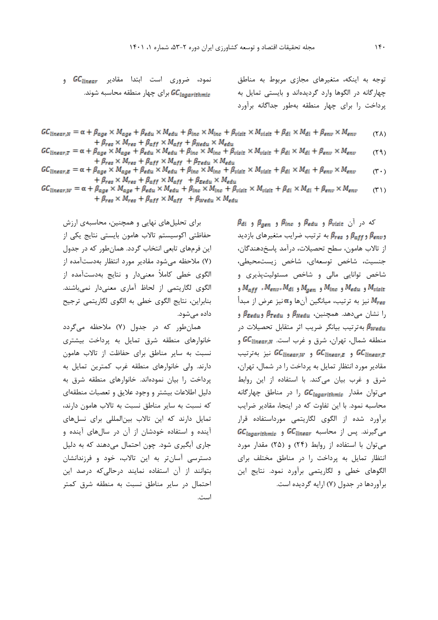نمود، ضروري است ابتدا مقادير GC $\epsilon$ inear و براي چهار منطقه محاسبه شوند.

توجه به اينکه، متغیرهاي مجازي مربوط به مناطق چهارگانه در الگوها وارد گرديدهاند و بايستی تمايل به پرداخت را براي چهار منطقه بهطور جداگانه برآورد

- $GC_{linear,N} = \alpha + \beta_{age} \times M_{age} + \beta_{edu} \times M_{edu} + \beta_{inc} \times M_{inc} + \beta_{visit} \times M_{visit} + \beta_{di} \times M_{di} + \beta_{env} \times M_{env}$  $(\uparrow \uplambda)$  $+ \beta_{res} \times M_{res} + \beta_{aff} \times M_{aff} + \beta_{Nedu} \times M_{edu}$
- $GC_{linear,T} = \alpha + \beta_{age} \times M_{age} + \beta_{edu} \times M_{edu} + \beta_{inc} \times M_{inc} + \beta_{visit} \times M_{visit} + \beta_{di} \times M_{di} + \beta_{env} \times M_{env}$  $(19)$  $+ \beta_{res} \times M_{res} + \beta_{aff} \times M_{aff} + \beta_{Tedu} \times M_{edu}$
- $GC_{linear,E}=\alpha+\beta_{age}\times M_{age}+\beta_{edu}\times M_{edu}+\beta_{inc}\times M_{inc}+\beta_{visit}\times M_{visit}+\beta_{di}\times M_{di}+\beta_{env}\times M_{env}$  $(\mathfrak{r} \cdot)$  $+ \beta_{res} \times M_{res} + \beta_{aff} \times M_{aff} + \beta_{Eedu} \times M_{edu}$
- $GC_{linear,W} = \alpha + \beta_{age} \times M_{age} + \beta_{edu} \times M_{edu} + \beta_{inc} \times M_{inc} + \beta_{visit} \times M_{visit} + \beta_{di} \times M_{di} + \beta_{env} \times M_{env}$  $(1^{\prime})$  $+ \beta_{res} \times M_{res} + \beta_{aff} \times M_{aff} + \beta_{Wedu} \times M_{edu}$

براي تحلیلهاي نهايی و همچنین، محاسبهي ارزش حفاظتی اکوسیستم تاالب هامون بايستی نتايج يکی از اين فرمهاي تابعی انتخاب گردد. همانطور که در جدول )7( مالحظه میشود مقادير مورد انتظار بهدستآمده از الگوي خطی کامالً معنیدار و نتايج بهدستآمده از الگوي لگاريتمی از لحاظ آماري معنیدار نمیباشند. بنابراين، نتايج الگوي خطی به الگوي لگاريتمی ترجیح داده میشود.

همانطور که در جدول )7( مالحظه میگردد خانوارهاي منطقه شرق تمايل به پرداخت بیشتري نسبت به ساير مناطق براي حفاظت از تاالب هامون دارند. ولی خانوارهاي منطقه غرب کمترين تمايل به پرداخت را بیان نمودهاند. خانوارهاي منطقه شرق به دلیل اطالعات بیشتر و وجود عاليق و تعصبات منطقهاي که نسبت به ساير مناطق نسبت به تاالب هامون دارند، تمايل دارند که اين تاالب بینالمللی براي نسلهاي آينده و استفاده خودشان از آن در سالهاي آينده و جاري آبگیري شود. چون احتمال میدهند که به دلیل دسترسی آسانتر به اين تاالب، خود و فرزندانشان بتوانند از آن استفاده نمايند درحالیکه درصد اين احتمال در ساير مناطق نسبت به منطقه شرق کمتر است.

 $\beta$  $\beta$ و  $\beta$  و  $\beta$  $\beta$  و  $\beta$  $\beta$  و  $\beta$   $\beta$  و  $\beta$ و  $\beta_{\mathit{eff}}$ و  $\beta_{\mathit{res}}$  به ترتیب ضرایب متغیرهای بازدید از تاالب هامون، سطح تحصیالت، درآمد پاسخدهندگان، جنسیت، شاخص توسعهاي، شاخص زيستمحیطی، شاخص توانايی مالی و شاخص مسئولیتپذيري و  $M_{aff}$  ,  $M_{env}$ ,  $M_{di}$  و  $M_{gen}$  و  $M_{line}$  ,  $M_{ebit}$  و  $M_{visit}$ نیز به ترتیب، میانگین آنها و $\alpha$ نیز عرض از مبدأ  $M_{res}$ را نشان میدهد. همچنین،  $\beta_{\tt Nedu}$  و  $\beta_{\tt Tedu}$  و بهترتیب بیانگر ضريب اثر متقابل تحصیالت در منطقه شمال، تهران، شرق و غرب است. GC $\epsilon_{\sf linear,N}$  و و  $GC_{linear,W}$  نیز بهترتیب C $C_{linear,W}$  و  $GC_{linear,T}$ مقادير مورد انتظار تمايل به پرداخت را در شمال، تهران، شرق و غرب بیان میکند. با استفاده از اين روابط میتوان مقدار GC<sub>logarithmic</sub> را در مناطق چهارگانه محاسبه نمود. با اين تفاوت که در اينجا، مقادير ضرايب برآورد شده از الگوي لگاريتمی مورداستفاده قرار میگیرند. پس از محاسبه GC Iinear و GC Iogarithmic میتوان با استفاده از روابط )24( و )25( مقدار مورد انتظار تمايل به پرداخت را در مناطق مختلف براي الگوهاي خطی و لگاريتمی برآورد نمود. نتايج اين برآوردها در جدول )7( ارايه گرديده است.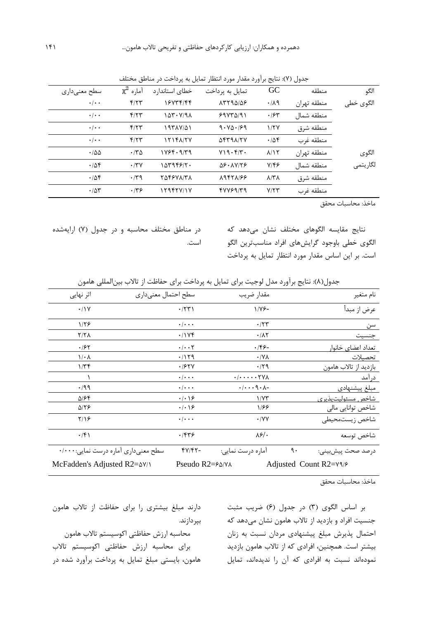| الگو      | منطقه       | GC                     | تمایل به پرداخت  | خطای استاندارد | $\chi^2$ آمارہ $\chi^2$ | سطح معنی داری             |
|-----------|-------------|------------------------|------------------|----------------|-------------------------|---------------------------|
| الگوى خطى | منطقه تهران | .119                   | 15794148         | 16734144       | f/77                    | $\cdot$ / $\cdot$ $\cdot$ |
|           | منطقه شمال  | .184                   | $59YY\Delta/91$  | ۱۵۳۰۷/۹۸       | f/77                    | $\cdot$ / $\cdot$ $\cdot$ |
|           | منطقه شرق   | 1/7V                   | 9.40.99          | ۱۹۳۸۷/۵۱       | f/77                    | $\cdot$ / $\cdot$ $\cdot$ |
|           | منطقه غرب   | .788                   | $\Delta$ ۴۳۹۸/۲۷ | 12148177       | f/77                    | $\cdot$ / $\cdot$ $\cdot$ |
| الگوی     | منطقه تهران | $\lambda/\Upsilon$     | V19.5/T.         | ۱۷۶۴۰۹/۳۹      | $\cdot$ $\nmid$ ۳۵      | $\cdot$ 155               |
| لگاريتمي  | منطقه شمال  | $Y/\mathfrak{F}$       | $\Delta$ ۶۰۸۷/۲۶ | ۱۵۳۹۴۶/۲۰      | $\cdot$ /۳ $\vee$       | .408                      |
|           | منطقه شرق   | $\lambda$ /٣ $\lambda$ | 19471199         | 854678178      | $\cdot$ /۳۹             | .786                      |
|           | منطقه غرب   | Y/YY                   | fVVf9/T9         | ۱۲۹۴۲۷/۱۷      | .149                    | $\cdot$ /55               |
|           |             |                        |                  |                |                         |                           |

جدول (۷): نتايج برآورد مقدار مورد انتظار تمايل به پرداخت در مناطق مختلف

ماخذ: محاسبات محقق

نتايج مقايسه الگوهاي مختلف نشان میدهد که الگوي خطی باوجود گرايشهاي افراد مناسبترين الگو است. بر اين اساس مقدار مورد انتظار تمايل به پرداخت

در مناطق مختلف محاسبه و در جدول )7( ارايهشده است.

|  |  |  |  |  |  | جدول(۸): نتايج برآورد مدل لوجيت براى تمايل به پرداخت براى حفاظت از تالاب بين لمللي هامون |
|--|--|--|--|--|--|------------------------------------------------------------------------------------------|
|--|--|--|--|--|--|------------------------------------------------------------------------------------------|

| اثر نهایی                            | سطح احتمال معنىداري            | مقدار ضريب                            |                  | نام متغير                  |
|--------------------------------------|--------------------------------|---------------------------------------|------------------|----------------------------|
| $\cdot$ /\Y                          | $\cdot$ /۲۳)                   | $1/Y$ ۶-                              |                  | عرض از مبدأ                |
| 1/59                                 | $\cdot$ / $\cdot$ $\cdot$      | $\cdot$ /۲۳                           |                  | سن                         |
| 7/7 A                                | .7198                          | $\cdot/\lambda\tau$                   |                  | جنسيت                      |
| .185                                 | $\cdot/\cdot\cdot$ ٢           | $.199 -$                              |                  | تعداد اعض <u>ای</u> خانوار |
| $1/\cdot \Lambda$                    | .7179                          | $\cdot$ /Y $\wedge$                   |                  | تحصىلات                    |
| 1/Tf                                 | .787Y                          | $\cdot$ /۲۹                           |                  | بازديد از تالاب هامون      |
|                                      | $\cdot \mid \cdot \cdot \cdot$ | $\cdot/\cdot\cdot\cdot\cdot\tau$ YA   |                  | <u>درآ</u> مد              |
| $\cdot$ /99                          | $\cdot \mid \cdot \cdot \cdot$ | $-\lambda \cdot \rho \cdot \lambda -$ |                  | مبلغ پیشنهادی              |
| ۵۱۶۴                                 | $\cdot$   $\cdot$   $\epsilon$ | 1/YY                                  |                  | شاخص مسئوليت پذيري         |
| 5/16                                 | $\cdot$   $\cdot$   $\epsilon$ | 1166                                  |                  | شاخص توانايي مالي          |
| Y/2                                  | $\cdot$ / $\cdot$ $\cdot$      | $\cdot$ /YY                           |                  | شاخص زيستمحيطى             |
| $\cdot$ /۴۱                          | .759                           | $\lambda$ ۶/۰                         |                  | شاخص توسعه                 |
| سطح معنىدارى أماره درست نمايى:٠/٠٠٠  | $fV/fT-$                       | آماره درست نمايي:                     | $\mathfrak{q}$ . | درصد صحت پیشبینی:          |
| McFadden's Adjusted R2= $\Delta V/1$ |                                | Pseudo $R2 = \frac{6}{11}$            |                  | Adjusted Count R2=Y9/8     |

ماخذ: محاسبات محقق

بر اساس الگوي (٣) در جدول (٤) ضريب مثبت جنسیت افراد و بازديد از تاالب هامون نشان میدهد که احتمال پذيرش مبلغ پیشنهادي مردان نسبت به زنان بیشتر است. همچنین، افرادي که از تاالب هامون بازديد نمودهاند نسبت به افرادي که آن را نديدهاند، تمايل

دارند مبلغ بیشتري را براي حفاظت از تاالب هامون بپردازند. محاسبه ارزش حفاظتی اکوسیستم تاالب هامون براي محاسبه ارزش حفاظتی اکوسیستم تاالب هامون، بايستی مبلغ تمايل به پرداخت برآورد شده در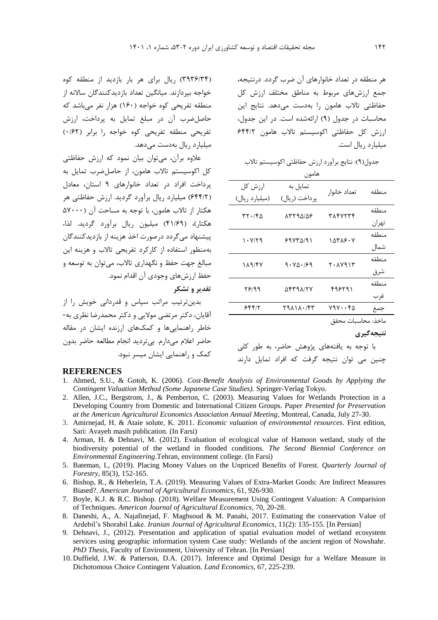هر منطقه در تعداد خانوارهاي آن ضرب گردد. درنتیجه، جمع ارزشهاي مربوط به مناطق مختلف ارزش کل حفاظتی تاالب هامون را بهدست میدهد. نتايج اين محاسبات در جدول )9( ارائهشده است. در اين جدول، ارزش کل حفاظتی اکوسیستم تاالب هامون 644/2 میلیارد ريال است.

جدول)9(: نتايج برآورد ارزش حفاظتی اکوسیستم تاالب

| هامون                     |                            |                 |                      |  |  |
|---------------------------|----------------------------|-----------------|----------------------|--|--|
| ارزش کل<br>(میلیارد ریال) | تمایل به<br>پر داخت (ريال) | تعداد خانوار    | منطقه                |  |  |
| rr.180                    | 15795158                   | ۳۸۴۷۲۳۴         | منطقه                |  |  |
| ۰۷/۲۹ ۱                   | ۶۹۷۳۵/۹۱                   | ۱۵۳۸۶۰۷         | تهران<br>منطقه       |  |  |
|                           |                            |                 | شمال<br>منطقه        |  |  |
| 189/47                    | 9.101/99                   | ۲۰۸۷۹۱۳         | شرق                  |  |  |
| 78199                     | 9831177                    | ۴۹۶۲۹۱          | منطقه<br>غرب         |  |  |
| ۶۴۴۱۲                     | ۳۹۸۱۸۰/۴۳                  | $Y9V \cdots YQ$ | جمع                  |  |  |
|                           |                            | $+2$ . $-$      | $+1 - 1$ .<br>- 12 1 |  |  |

ماخذ: محاسبات محقق

**نتيجهگيري**

با توجه به يافتههاي پژوهش حاضر، به طور کلی چنین می توان نتیجه گرفت که افراد تمايل دارند

)3936/34( ريال براي هر بار بازديد از منطقه کوه خواجه بپردازند. میانگین تعداد بازديدکنندگان ساالنه از منطقه تفريحی کوه خواجه )160( هزار نفر میباشد که حاصلضرب آن در مبلغ تمايل به پرداخت، ارزش تفريحی منطقه تفريحی کوه خواجه را برابر )0/62( میلیارد ريال بهدست میدهد.

عالوه برآن، میتوان بیان نمود که ارزش حفاظتی کل اکوسیستم تاالب هامون، از حاصلضرب تمايل به پرداخت افراد در تعداد خانوارهاي 9 استان، معادل )644/2( میلیارد ريال برآورد گرديد. ارزش حفاظتی هر هکتار از تاالب هامون، با توجه به مساحت آن )57000 هکتار(، )41/69( میلیون ريال برآورد گرديد. لذا، پیشنهاد میگردد درصورت اخذ هزينه از بازديدکنندگان بهمنظور استفاده از کارکرد تفريحی تاالب و هزينه اين مبالغ جهت حفظ و نگهداري تاالب، میتوان به توسعه و حفظ ارزشهاي وجودي آن اقدام نمود.

**تقدير و تشکر**

بدينترتیب مراتب سپاس و قدردانی خويش را از آقايان، دکتر مرتضی مواليی و دکتر محمدرضا نظري به- خاطر راهنمايیها و کمکهاي ارزنده ايشان در مقاله حاضر اعالم میدارم. بیترديد انجام مطالعه حاضر بدون کمک و راهنمايی ايشان میسر نبود.

#### **REFERENCES**

- 1. Ahmed, S.U., & Gotoh, K. (2006). *Cost-Benefit Analysis of Environmental Goods by Applying the Contingent Valuation Method (Some Japanese Case Studies).* Springer-Verlag Tokyo.
- 2. Allen, J.C., Bergstrom, J., & Pemberton, C. (2003). Measuring Values for Wetlands Protection in a Developing Country from Domestic and International Citizen Groups. *Paper Presented for Preservation at the American Agricultural Economics Association Annual Meeting*, Montreal, Canada, July 27-30.
- 3. Amirnejad, H. & Ataie solute, K. 2011. *Economic valuation of environmental resources*. First edition, Sari: Avayeh masih publication. (In Farsi)
- 4. Arman, H. & Dehnavi, M. (2012). Evaluation of ecological value of Hamoon wetland, study of the biodiversity potential of the wetland in flooded conditions. *The Second Biennial Conference on Environmental Engineering*.Tehran, environment college. (In Farsi)
- 5. Bateman, I., (2019). Placing Money Values on the Unpriced Benefits of Forest. *Quarterly Journal of Forestry*, 85(3), 152-165.
- 6. Bishop, R., & Heberlein, T.A. (2019). Measuring Values of Extra-Market Goods: Are Indirect Measures Biased?. *American Journal of Agricultural Economics*, 61, 926-930.
- 7. Boyle, K.J. & R.C. Bishop. (2018). Welfare Measurement Using Contingent Valuation: A Comparision of Techniques. *American Journal of Agricultural Economics*, 70, 20-28.
- 8. Daneshi, A., A. Najafinejad, F. Maghsoud & M. Panahi, 2017. Estimating the conservation Value of Ardebil's Shorabil Lake. *Iranian Journal of Agricultural Economics*, 11(2): 135-155. [In Persian]
- 9. Dehnavi, J., (2012). Presentation and application of spatial evaluation model of wetland ecosystem services using geographic information system Case study: Wetlands of the ancient region of Nowshahr. *PhD Thesis*, Faculty of Environment, University of Tehran. [In Persian]
- 10. Duffield, J.W. & Patterson, D.A. (2017). Inference and Optimal Design for a Welfare Measure in Dichotomous Choice Contingent Valuation. *Land Economics*, 67, 225-239.